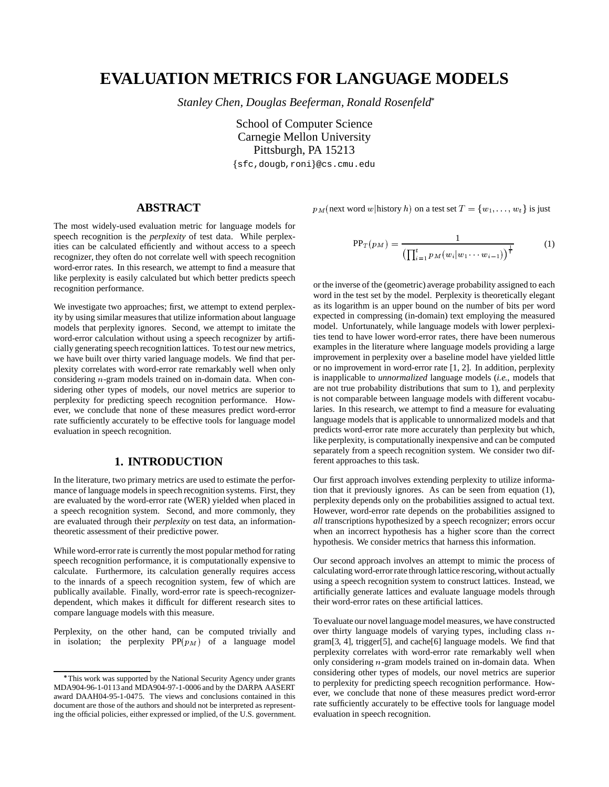# **EVALUATION METRICS FOR LANGUAGE MODELS**

*Stanley Chen, Douglas Beeferman, Ronald Rosenfeld*

School of Computer Science Carnegie Mellon University Pittsburgh, PA 15213 sfc,dougb,roni- @cs.cmu.edu

## **ABSTRACT**

The most widely-used evaluation metric for language models for speech recognition is the *perplexity* of test data. While perplexities can be calculated efficiently and without access to a speech recognizer, they often do not correlate well with speech recognition word-error rates. In this research, we attempt to find a measure that like perplexity is easily calculated but which better predicts speech recognition performance.

We investigate two approaches; first, we attempt to extend perplexity by using similar measures that utilize information about language models that perplexity ignores. Second, we attempt to imitate the word-error calculation without using a speech recognizer by artificially generating speech recognition lattices. To test our new metrics, we have built over thirty varied language models. We find that perplexity correlates with word-error rate remarkably well when only considering  $n$ -gram models trained on in-domain data. When considering other types of models, our novel metrics are superior to perplexity for predicting speech recognition performance. However, we conclude that none of these measures predict word-error rate sufficiently accurately to be effective tools for language model evaluation in speech recognition.

#### **1. INTRODUCTION**

In the literature, two primary metrics are used to estimate the performance of language models in speech recognition systems. First, they are evaluated by the word-error rate (WER) yielded when placed in a speech recognition system. Second, and more commonly, they are evaluated through their *perplexity* on test data, an informationtheoretic assessment of their predictive power.

While word-error rate is currently the most popular method for rating speech recognition performance, it is computationally expensive to calculate. Furthermore, its calculation generally requires access to the innards of a speech recognition system, few of which are publically available. Finally, word-error rate is speech-recognizerdependent, which makes it difficult for different research sites to compare language models with this measure.

Perplexity, on the other hand, can be computed trivially and in isolation; the perplexity  $PP(p_M)$  of a language model  $p_M$ (next word w||history h) on a test set  $T = \{w_1, \ldots, w_t\}$  is just

$$
PP_T(p_M) = \frac{1}{\left(\prod_{i=1}^t p_M(w_i|w_1 \cdots w_{i-1})\right)^{\frac{1}{t}}}
$$
 (1)

or the inverse of the (geometric) average probability assigned to each word in the test set by the model. Perplexity is theoretically elegant as its logarithm is an upper bound on the number of bits per word expected in compressing (in-domain) text employing the measured model. Unfortunately, while language models with lower perplexities tend to have lower word-error rates, there have been numerous examples in the literature where language models providing a large improvement in perplexity over a baseline model have yielded little or no improvement in word-error rate [1, 2]. In addition, perplexity is inapplicable to *unnormalized* language models (*i.e.*, models that are not true probability distributions that sum to 1), and perplexity is not comparable between language models with different vocabularies. In this research, we attempt to find a measure for evaluating language models that is applicable to unnormalized models and that predicts word-error rate more accurately than perplexity but which, like perplexity, is computationally inexpensive and can be computed separately from a speech recognition system. We consider two different approaches to this task.

Our first approach involves extending perplexity to utilize information that it previously ignores. As can be seen from equation (1), perplexity depends only on the probabilities assigned to actual text. However, word-error rate depends on the probabilities assigned to *all* transcriptions hypothesized by a speech recognizer; errors occur when an incorrect hypothesis has a higher score than the correct hypothesis. We consider metrics that harness this information.

Our second approach involves an attempt to mimic the process of calculating word-errorrate through lattice rescoring,without actually using a speech recognition system to construct lattices. Instead, we artificially generate lattices and evaluate language models through their word-error rates on these artificial lattices.

To evaluate our novel language model measures, we have constructed over thirty language models of varying types, including class  $n$ gram[3, 4], trigger[5], and cache[6] language models. We find that perplexity correlates with word-error rate remarkably well when only considering  $n$ -gram models trained on in-domain data. When considering other types of models, our novel metrics are superior to perplexity for predicting speech recognition performance. However, we conclude that none of these measures predict word-error rate sufficiently accurately to be effective tools for language model evaluation in speech recognition.

This work was supported by the National Security Agency under grants MDA904-96-1-0113 and MDA904-97-1-0006 and by the DARPA AASERT award DAAH04-95-1-0475. The views and conclusions contained in this document are those of the authors and should not be interpreted as representing the official policies, either expressed or implied, of the U.S. government.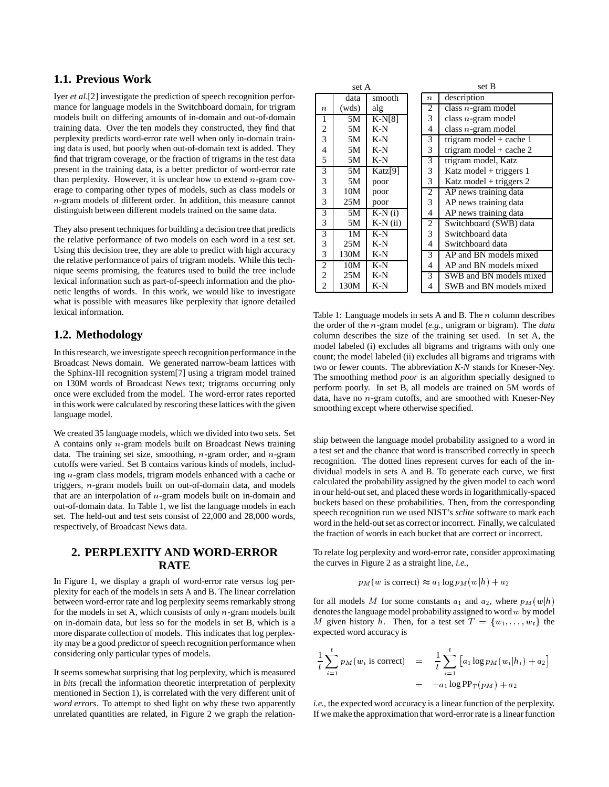## **1.1. Previous Work**

Iyer *et al.*[2] investigate the prediction of speech recognition performance for language models in the Switchboard domain, for trigram models built on differing amounts of in-domain and out-of-domain training data. Over the ten models they constructed, they find that perplexity predicts word-error rate well when only in-domain training data is used, but poorly when out-of-domain text is added. They find that trigram coverage, or the fraction of trigrams in the test data present in the training data, is a better predictor of word-error rate than perplexity. However, it is unclear how to extend  $n$ -gram coverage to comparing other types of models, such as class models or  $n$ -gram models of different order. In addition, this measure cannot distinguish between different models trained on the same data.

They also present techniques for building a decision tree that predicts the relative performance of two models on each word in a test set. Using this decision tree, they are able to predict with high accuracy the relative performance of pairs of trigram models. While this technique seems promising, the features used to build the tree include lexical information such as part-of-speech information and the phonetic lengths of words. In this work, we would like to investigate what is possible with measures like perplexity that ignore detailed lexical information.

#### **1.2. Methodology**

In thisresearch, we investigate speech recognition performance in the Broadcast News domain. We generated narrow-beam lattices with the Sphinx-III recognition system[7] using a trigram model trained on 130M words of Broadcast News text; trigrams occurring only once were excluded from the model. The word-error rates reported in this work were calculated by rescoring these lattices with the given language model.

We created 35 language models, which we divided into two sets. Set A contains only  $n$ -gram models built on Broadcast News training data. The training set size, smoothing,  $n$ -gram order, and  $n$ -gram cutoffs were varied. Set B contains various kinds of models, including  $n$ -gram class models, trigram models enhanced with a cache or triggers,  $n$ -gram models built on out-of-domain data, and models that are an interpolation of  $n$ -gram models built on in-domain and out-of-domain data. In Table 1, we list the language models in each set. The held-out and test sets consist of 22,000 and 28,000 words, respectively, of Broadcast News data.

## **2. PERPLEXITY AND WORD-ERROR RATE**

In Figure 1, we display a graph of word-error rate versus log perplexity for each of the models in sets A and B. The linear correlation between word-error rate and log perplexity seems remarkably strong for the models in set A, which consists of only  $n$ -gram models built on in-domain data, but less so for the models in set B, which is a more disparate collection of models. This indicates that log perplexity may be a good predictor of speech recognition performance when considering only particular types of models.

It seems somewhat surprising that log perplexity, which is measured in *bits* (recall the information theoretic interpretation of perplexity mentioned in Section 1), is correlated with the very different unit of *word errors*. To attempt to shed light on why these two apparently unrelated quantities are related, in Figure 2 we graph the relation-

|                                            | set A |            |                          |                         |
|--------------------------------------------|-------|------------|--------------------------|-------------------------|
|                                            | data  | smooth     | $\boldsymbol{n}$         | d                       |
| $\boldsymbol{n}$                           | (wds) | alg        | $\frac{2}{3}$            | $\mathbf{c}$            |
| $\,1$                                      | 5M    | $K-N[8]$   |                          | $\mathbf{c}$            |
|                                            | 5M    | K-N        | $\overline{\mathcal{L}}$ | $\mathbf{c}$            |
| $\frac{2}{3}$                              | 5M    | $K-N$      |                          | tr                      |
| $\overline{4}$                             | 5M    | K-N        | $\frac{3}{3}$            | tr                      |
| 5                                          | 5M    | K-N        | $\overline{3}$           | tr                      |
|                                            | 5M    | Katz[9]    | $\overline{\mathbf{3}}$  | K                       |
| $\begin{array}{c} 3 \\ 3 \\ 3 \end{array}$ | 5M    | poor       | 3                        | K                       |
|                                            | 10M   | poor       |                          | A                       |
| 3                                          | 25M   | poor       | $\frac{2}{3}$            | A                       |
| 3                                          | 5M    | $K-N(i)$   | $\overline{4}$           | A                       |
| 3                                          | 5M    | $K-N$ (ii) |                          | S                       |
| $\frac{3}{3}$                              | 1M    | $K-N$      | $\frac{2}{3}$            | S                       |
|                                            | 25M   | K-N        | $\overline{\mathbf{4}}$  | S                       |
| 3                                          | 130M  | K-N        | 3                        | A                       |
|                                            | 10M   | $K-N$      | $\overline{4}$           | A                       |
| $\begin{array}{c} 2 \\ 2 \\ 2 \end{array}$ | 25M   | K-N        | $\overline{3}$           | $\overline{\mathbf{S}}$ |
|                                            | 130M  | K-N        | $\overline{4}$           | S                       |

| set B                                      |                            |  |
|--------------------------------------------|----------------------------|--|
| $\boldsymbol{n}$                           | description                |  |
| $\sqrt{2}$                                 | class <i>n</i> -gram model |  |
| $\overline{3}$                             | class $n$ -gram model      |  |
| $\overline{4}$                             | class $n$ -gram model      |  |
| $\frac{3}{3}$                              | trigram model + cache 1    |  |
|                                            | trigram model + cache 2    |  |
| $\begin{array}{c} 3 \\ 3 \\ 3 \end{array}$ | trigram model, Katz        |  |
|                                            | Katz model + triggers 1    |  |
|                                            | Katz model + triggers 2    |  |
| $\begin{array}{c} 2 \\ 3 \\ 4 \end{array}$ | AP news training data      |  |
|                                            | AP news training data      |  |
|                                            | AP news training data      |  |
| $\frac{2}{3}$                              | Switchboard (SWB) data     |  |
|                                            | Switchboard data           |  |
| $\overline{4}$                             | Switchboard data           |  |
| 3                                          | AP and BN models mixed     |  |
| $\overline{4}$                             | AP and BN models mixed     |  |
| 3                                          | SWB and BN models mixed    |  |
| $\overline{4}$                             | SWB and BN models mixed    |  |

Table 1: Language models in sets A and B. The  $n$  column describes the order of the -gram model (*e.g.*, unigram or bigram). The *data* column describes the size of the training set used. In set A, the model labeled (i) excludes all bigrams and trigrams with only one count; the model labeled (ii) excludes all bigrams and trigrams with two or fewer counts. The abbreviation *K-N* stands for Kneser-Ney. The smoothing method *poor* is an algorithm specially designed to perform poorly. In set B, all models are trained on 5M words of data, have no  $n$ -gram cutoffs, and are smoothed with Kneser-Ney smoothing except where otherwise specified.

ship between the language model probability assigned to a word in a test set and the chance that word is transcribed correctly in speech recognition. The dotted lines represent curves for each of the individual models in sets A and B. To generate each curve, we first calculated the probability assigned by the given model to each word in our held-out set, and placed these words in logarithmically-spaced buckets based on these probabilities. Then, from the corresponding speech recognition run we used NIST's *sclite* software to mark each word in the held-outset as correct or incorrect. Finally, we calculated the fraction of words in each bucket that are correct or incorrect.

To relate log perplexity and word-error rate, consider approximating the curves in Figure 2 as a straight line, *i.e.*,

$$
p_M(w \text{ is correct}) \approx a_1 \log p_M(w|h) + a_2
$$

for all models M for some constants  $a_1$  and  $a_2$ , where  $p_M(w|h)$ denotes the language model probability assigned to word  $w$  by model M given history h. Then, for a test set  $T = \{w_1, \ldots, w_t\}$  the expected word accuracy is

$$
\frac{1}{t} \sum_{i=1}^{t} p_M(w_i \text{ is correct}) = \frac{1}{t} \sum_{i=1}^{t} [a_1 \log p_M(w_i|h_i) + a_2]
$$

$$
= -a_1 \log \text{PP}_T(p_M) + a_2
$$

*i.e.*, the expected word accuracy is a linear function of the perplexity. If we make the approximation that word-errorrate is a linearfunction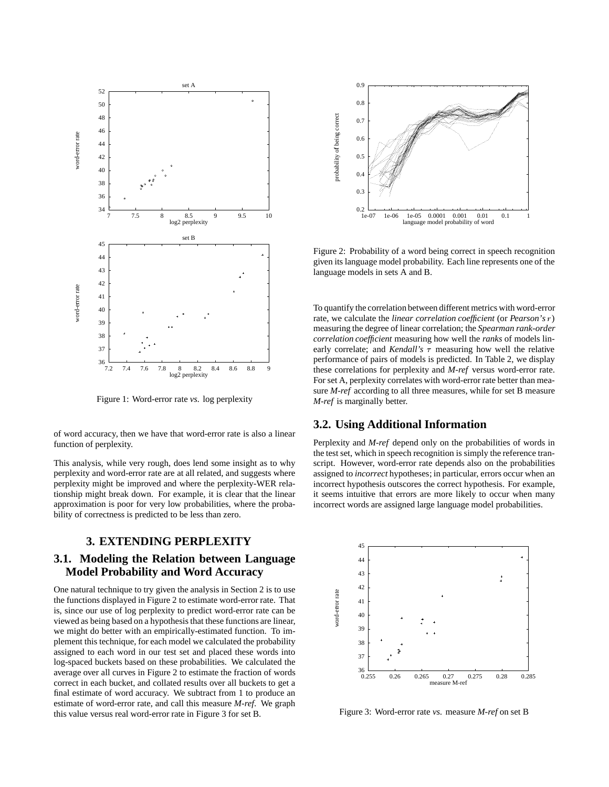

Figure 1: Word-error rate *vs.* log perplexity

of word accuracy, then we have that word-error rate is also a linear function of perplexity.

This analysis, while very rough, does lend some insight as to why perplexity and word-error rate are at all related, and suggests where perplexity might be improved and where the perplexity-WER relationship might break down. For example, it is clear that the linear approximation is poor for very low probabilities, where the probability of correctness is predicted to be less than zero.

#### **3. EXTENDING PERPLEXITY**

## **3.1. Modeling the Relation between Language Model Probability and Word Accuracy**

One natural technique to try given the analysis in Section 2 is to use the functions displayed in Figure 2 to estimate word-error rate. That is, since our use of log perplexity to predict word-error rate can be viewed as being based on a hypothesis that these functions are linear, we might do better with an empirically-estimated function. To implement this technique, for each model we calculated the probability assigned to each word in our test set and placed these words into log-spaced buckets based on these probabilities. We calculated the average over all curves in Figure 2 to estimate the fraction of words correct in each bucket, and collated results over all buckets to get a final estimate of word accuracy. We subtract from 1 to produce an estimate of word-error rate, and call this measure *M-ref*. We graph this value versus real word-error rate in Figure 3 for set B.



Figure 2: Probability of a word being correct in speech recognition given its language model probability. Each line represents one of the language models in sets A and B.

To quantify the correlation between different metrics with word-error rate, we calculate the *linear correlation coefficient* (or *Pearson's* r) measuring the degree of linear correlation; the *Spearman rank-order correlation coefficient* measuring how well the *ranks* of models linearly correlate; and *Kendall's*  $\tau$  measuring how well the relative performance of pairs of models is predicted. In Table 2, we display these correlations for perplexity and *M-ref* versus word-error rate. For set A, perplexity correlates with word-error rate better than measure *M-ref* according to all three measures, while for set B measure *M-ref* is marginally better.

#### **3.2. Using Additional Information**

Perplexity and *M-ref* depend only on the probabilities of words in the test set, which in speech recognition is simply the reference transcript. However, word-error rate depends also on the probabilities assigned to *incorrect* hypotheses; in particular, errors occur when an incorrect hypothesis outscores the correct hypothesis. For example, it seems intuitive that errors are more likely to occur when many incorrect words are assigned large language model probabilities.



Figure 3: Word-error rate *vs.* measure *M-ref* on set B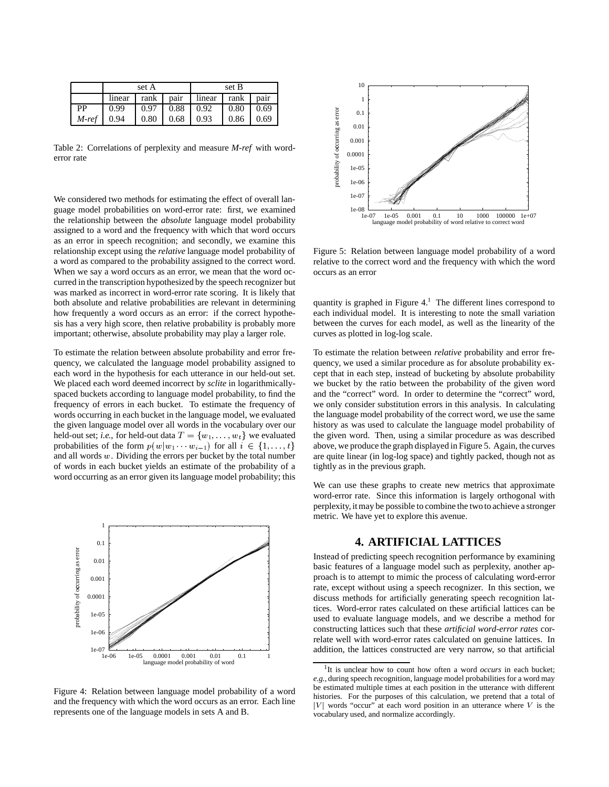|       | set A  |      |      | set B  |      |      |
|-------|--------|------|------|--------|------|------|
|       | linear | rank | pair | linear | rank | pair |
| PP    | 0.99   | 0.97 | 0.88 | 0.92   | 0.80 | 0.69 |
| M-ref | 0.94   | 0.80 | 0.68 | 0.93   | 0.86 | 0.69 |

Table 2: Correlations of perplexity and measure *M-ref* with worderror rate

We considered two methods for estimating the effect of overall language model probabilities on word-error rate: first, we examined the relationship between the *absolute* language model probability assigned to a word and the frequency with which that word occurs as an error in speech recognition; and secondly, we examine this relationship except using the *relative* language model probability of a word as compared to the probability assigned to the correct word. When we say a word occurs as an error, we mean that the word occurred in the transcription hypothesized by the speech recognizer but was marked as incorrect in word-error rate scoring. It is likely that both absolute and relative probabilities are relevant in determining how frequently a word occurs as an error: if the correct hypothesis has a very high score, then relative probability is probably more important; otherwise, absolute probability may play a larger role.

To estimate the relation between absolute probability and error frequency, we calculated the language model probability assigned to each word in the hypothesis for each utterance in our held-out set. We placed each word deemed incorrect by *sclite* in logarithmicallyspaced buckets according to language model probability, to find the frequency of errors in each bucket. To estimate the frequency of words occurring in each bucket in the language model, we evaluated the given language model over all words in the vocabulary over our held-out set; *i.e*., for held-out data  $T = \{w_1, \ldots, w_t\}$  we evaluated probabilities of the form  $p(w|w_1 \cdots w_{i-1})$  for all  $i \in \{1, \ldots, t\}$ and all words  $w$ . Dividing the errors per bucket by the total number of words in each bucket yields an estimate of the probability of a word occurring as an error given its language model probability; this



Figure 4: Relation between language model probability of a word and the frequency with which the word occurs as an error. Each line represents one of the language models in sets A and B.



Figure 5: Relation between language model probability of a word relative to the correct word and the frequency with which the word occurs as an error

quantity is graphed in Figure  $4<sup>1</sup>$ . The different lines correspond to each individual model. It is interesting to note the small variation between the curves for each model, as well as the linearity of the curves as plotted in log-log scale.

 above, we produce the graph displayed in Figure 5. Again, the curves To estimate the relation between *relative* probability and error frequency, we used a similar procedure as for absolute probability except that in each step, instead of bucketing by absolute probability we bucket by the ratio between the probability of the given word and the "correct" word. In order to determine the "correct" word, we only consider substitution errors in this analysis. In calculating the language model probability of the correct word, we use the same history as was used to calculate the language model probability of the given word. Then, using a similar procedure as was described are quite linear (in log-log space) and tightly packed, though not as tightly as in the previous graph.

We can use these graphs to create new metrics that approximate word-error rate. Since this information is largely orthogonal with perplexity, itmay be possible to combine the two to achieve a stronger metric. We have yet to explore this avenue.

### **4. ARTIFICIAL LATTICES**

Instead of predicting speech recognition performance by examining basic features of a language model such as perplexity, another approach is to attempt to mimic the process of calculating word-error rate, except without using a speech recognizer. In this section, we discuss methods for artificially generating speech recognition lattices. Word-error rates calculated on these artificial lattices can be used to evaluate language models, and we describe a method for constructing lattices such that these *artificial word-error rates* correlate well with word-error rates calculated on genuine lattices. In addition, the lattices constructed are very narrow, so that artificial

<sup>&</sup>lt;sup>1</sup>It is unclear how to count how often a word *occurs* in each bucket; *e.g.*, during speech recognition, language model probabilities for a word may be estimated multiple times at each position in the utterance with different histories. For the purposes of this calculation, we pretend that a total of  $|V|$  words "occur" at each word position in an utterance where V is the vocabulary used, and normalize accordingly.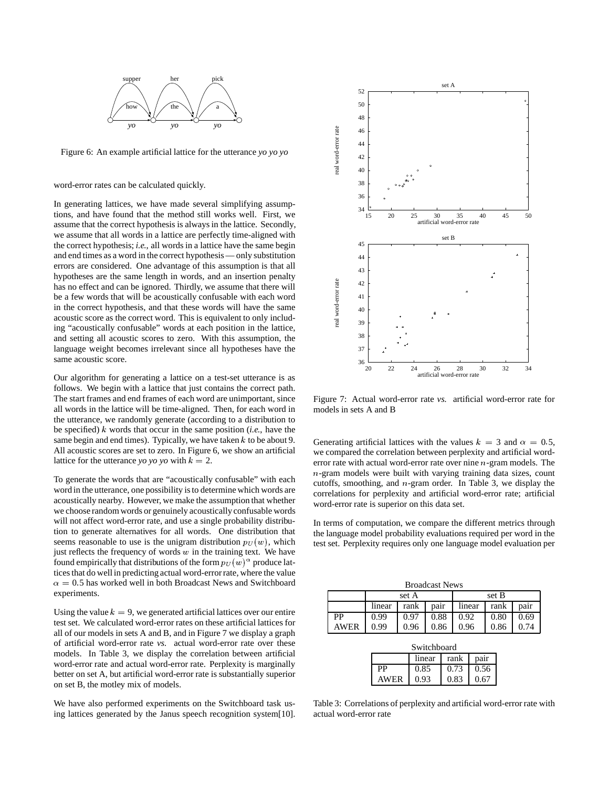

Figure 6: An example artificial lattice for the utterance *yo yo yo*

word-error rates can be calculated quickly.

In generating lattices, we have made several simplifying assumptions, and have found that the method still works well. First, we assume that the correct hypothesis is always in the lattice. Secondly, we assume that all words in a lattice are perfectly time-aligned with the correct hypothesis; *i.e.*, all words in a lattice have the same begin and end times as a word in the correct hypothesis— only substitution errors are considered. One advantage of this assumption is that all hypotheses are the same length in words, and an insertion penalty has no effect and can be ignored. Thirdly, we assume that there will be a few words that will be acoustically confusable with each word in the correct hypothesis, and that these words will have the same acoustic score as the correct word. This is equivalent to only including "acoustically confusable" words at each position in the lattice, and setting all acoustic scores to zero. With this assumption, the language weight becomes irrelevant since all hypotheses have the same acoustic score.

Our algorithm for generating a lattice on a test-set utterance is as follows. We begin with a lattice that just contains the correct path. The start frames and end frames of each word are unimportant, since all words in the lattice will be time-aligned. Then, for each word in the utterance, we randomly generate (according to a distribution to be specified)  $k$  words that occur in the same position (*i.e.*, have the same begin and end times). Typically, we have taken  $k$  to be about 9. All acoustic scores are set to zero. In Figure 6, we show an artificial lattice for the utterance *yo yo yo* with  $k = 2$ .

To generate the words that are "acoustically confusable" with each word in the utterance, one possibility isto determine which words are acoustically nearby. However, we make the assumption that whether we choose randomwords or genuinely acoustically confusable words will not affect word-error rate, and use a single probability distribution to generate alternatives for all words. One distribution that seems reasonable to use is the unigram distribution  $p_U(w)$ , which just reflects the frequency of words  $w$  in the training text. We have found empirically that distributions of the form  $p_U(w)^\alpha$  produce latticesthat do well in predicting actual word-errorrate, where the value  $\alpha = 0.5$  has worked well in both Broadcast News and Switchboard experiments.

Using the value  $k = 9$ , we generated artificial lattices over our entire test set. We calculated word-error rates on these artificial lattices for all of our models in sets A and B, and in Figure 7 we display a graph of artificial word-error rate *vs.* actual word-error rate over these models. In Table 3, we display the correlation between artificial word-error rate and actual word-error rate. Perplexity is marginally better on set A, but artificial word-error rate is substantially superior on set B, the motley mix of models.

We have also performed experiments on the Switchboard task using lattices generated by the Janus speech recognition system[10].



Figure 7: Actual word-error rate *vs.* artificial word-error rate for models in sets A and B

Generating artificial lattices with the values  $k = 3$  and  $\alpha = 0.5$ , we compared the correlation between perplexity and artificial worderror rate with actual word-error rate over nine  $n$ -gram models. The  $n$ -gram models were built with varying training data sizes, count cutoffs, smoothing, and  $n$ -gram order. In Table 3, we display the correlations for perplexity and artificial word-error rate; artificial word-error rate is superior on this data set.

In terms of computation, we compare the different metrics through the language model probability evaluations required per word in the test set. Perplexity requires only one language model evaluation per

Broadcast News set A set B linear rank pair linear rank pair PP  $\begin{array}{|c|c|c|c|c|c|c|c|c|} \hline 0.99 & 0.97 & 0.88 & 0.92 & 0.80 & 0.69 \ \hline \end{array}$ AWER | 0.99 | 0.96 | 0.86 | 0.96 | 0.86 | 0.74

| Switchboard |        |      |      |  |
|-------------|--------|------|------|--|
|             | linear | rank | pair |  |
| <b>PP</b>   | 0.85   | 0.73 | 0.56 |  |
| AWER        | 0.93   | 0.83 | 0.67 |  |

Table 3: Correlations of perplexity and artificial word-error rate with actual word-error rate